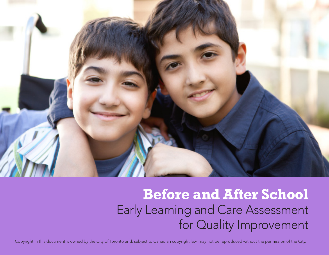

# **Before and After School** Early Learning and Care Assessment for Quality Improvement

Copyright in this document is owned by the City of Toronto and, subject to Canadian copyright law, may not be reproduced without the permission of the City.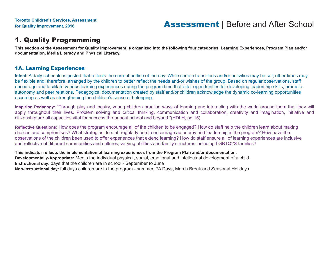### 1. Quality Programming

**This section of the Assessment for Quality Improvement is organized into the following four categories**: **Learning Experiences, Program Plan and/or documentation, Media Literacy and Physical Literacy.**

#### 1A. Learning Experiences

**Intent:** A daily schedule is posted that reflects the current outline of the day. While certain transitions and/or activities may be set, other times may be flexible and, therefore, arranged by the children to better reflect the needs and/or wishes of the group. Based on regular observations, staff encourage and facilitate various learning experiences during the program time that offer opportunities for developing leadership skills, promote autonomy and peer relations. Pedagogical documentation created by staff and/or children acknowledge the dynamic co-learning opportunities occurring as well as strengthening the children's sense of belonging.

**Inspiring Pedagogy:** "Through play and inquiry, young children practise ways of learning and interacting with the world around them that they will apply throughout their lives. Problem solving and critical thinking, communication and collaboration, creativity and imagination, initiative and citizenship are all capacities vital for success throughout school and beyond."(HDLH, pg 15)

**Reflective Questions:** How does the program encourage all of the children to be engaged? How do staff help the children learn about making choices and compromises? What strategies do staff regularly use to encourage autonomy and leadership in the program? How have the observations of the children been used to offer experiences that extend learning? How do staff ensure all of learning experiences are inclusive and reflective of different communities and cultures, varying abilities and family structures including LGBTQ2S families?

**This indicator reflects the implementation of learning experiences from the Program Plan and/or documentation. Developmentally-Appropriate:** Meets the individual physical, social, emotional and intellectual development of a child. **Instructional day:** days that the children are in school - September to June **Non-instructional day:** full days children are in the program - summer, PA Days, March Break and Seasonal Holidays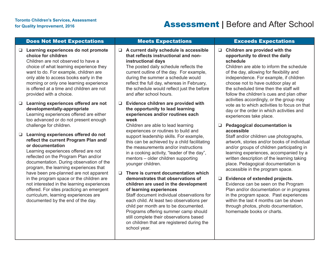## For Quality Improvement, 2016<br>For Quality Improvement, 2016<br>**Assessment** | Before and After School

|        | <b>Does Not Meet Expectations</b>                                                                                                                                                                                                                                                                                                                  |        | <b>Meets Expectations</b>                                                                                                                                                                                                                                                                                                                                                                                                         |        | <b>Exceeds Expectations</b>                                                                                                                                                                                                                                                                                                                                 |
|--------|----------------------------------------------------------------------------------------------------------------------------------------------------------------------------------------------------------------------------------------------------------------------------------------------------------------------------------------------------|--------|-----------------------------------------------------------------------------------------------------------------------------------------------------------------------------------------------------------------------------------------------------------------------------------------------------------------------------------------------------------------------------------------------------------------------------------|--------|-------------------------------------------------------------------------------------------------------------------------------------------------------------------------------------------------------------------------------------------------------------------------------------------------------------------------------------------------------------|
| $\Box$ | Learning experiences do not promote<br>choice for children<br>Children are not observed to have a<br>choice of what learning experience they<br>want to do. For example, children are<br>only able to access books early in the<br>morning or only one learning experience<br>is offered at a time and children are not<br>provided with a choice. |        | $\Box$ A current daily schedule is accessible<br>that reflects instructional and non-<br>instructional days<br>The posted daily schedule reflects the<br>current outline of the day. For example,<br>during the summer a schedule would<br>reflect the full day, whereas in February,<br>the schedule would reflect just the before<br>and after school hours.                                                                    | $\Box$ | Children are provided with the<br>opportunity to direct the daily<br>schedule<br>Children are able to inform the schedule<br>of the day, allowing for flexibility and<br>independence. For example, if children<br>choose not to have outdoor play at<br>the scheduled time then the staff will<br>follow the children's cues and plan other                |
|        | $\Box$ Learning experiences offered are not<br>developmentally-appropriate<br>Learning experiences offered are either<br>too advanced or do not present enough                                                                                                                                                                                     | $\Box$ | Evidence children are provided with<br>the opportunity to lead learning<br>experiences and/or routines each<br>week                                                                                                                                                                                                                                                                                                               |        | activities accordingly, or the group may<br>vote as to which activities to focus on that<br>day or the order in which activities and<br>experiences take place.                                                                                                                                                                                             |
|        | challenge for children.<br>□ Learning experiences offered do not<br>reflect the current Program Plan and/<br>or documentation<br>Learning experiences offered are not<br>reflected on the Program Plan and/or<br>documentation. During observation of the<br>program, the learning experiences that                                                |        | Children are able to lead learning<br>experiences or routines to build and<br>support leadership skills. For example,<br>this can be achieved by a child facilitating<br>the measurements and/or instructions<br>in a cooking activity, "leader of the day",<br>mentors - older children supporting<br>younger children.                                                                                                          |        | <b>Pedagogical documentation is</b><br>accessible<br>Staff and/or children use photographs,<br>artwork, stories and/or books of individual<br>and/or groups of children participating in<br>learning experiences, accompanied by a<br>written description of the learning taking<br>place. Pedagogical documentation is<br>accessible in the program space. |
|        | have been pre-planned are not apparent<br>in the program space or the children are<br>not interested in the learning experiences<br>offered. For sites practicing an emergent<br>curriculum, learning experiences are<br>documented by the end of the day.                                                                                         | □      | There is current documentation which<br>demonstrates that observations of<br>children are used in the development<br>of learning experiences<br>Staff document individual observations for<br>each child. At least two observations per<br>child per month are to be documented.<br>Programs offering summer camp should<br>still complete their observations based<br>on children that are registered during the<br>school year. | $\Box$ | Evidence of extended projects.<br>Evidence can be seen on the Program<br>Plan and/or documentation or in progress<br>in the program space. Past experiences<br>within the last 4 months can be shown<br>through photos, photo documentation,<br>homemade books or charts.                                                                                   |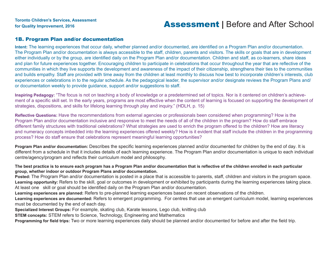### for Quality Improvement, 2016<br>**Assessment** | Before and After School

#### 1B. Program Plan and/or documentation

**Intent:** The learning experiences that occur daily, whether planned and/or documented, are identified on a Program Plan and/or documentation. The Program Plan and/or documentation is always accessible to the staff, children, parents and visitors. The skills or goals that are in development either individually or by the group, are identified daily on the Program Plan and/or documentation. Children and staff, as co-learners, share ideas and plan for future experiences together. Encouraging children to participate in celebrations that occur throughout the year that are reflective of the communities in which they live supports the development and awareness of the impact of their citizenship, strengthens their ties to the communities and builds empathy. Staff are provided with time away from the children at least monthly to discuss how best to incorporate children's interests, club experiences or celebrations in to the regular schedule. As the pedagogical leader, the supervisor and/or designate reviews the Program Plans and/ or documentation weekly to provide guidance, support and/or suggestions to staff.

**Inspiring Pedagogy:** "The focus is not on teaching a body of knowledge or a predetermined set of topics. Nor is it centered on children's achievement of a specific skill set. In the early years, programs are most effective when the content of learning is focused on supporting the development of strategies, dispositions, and skills for lifelong learning through play and inquiry." (HDLH, p. 15)

**Reflective Questions:** Have the recommendations from external agencies or professionals been considered when programming? How is the Program Plan and/or documentation inclusive and responsive to meet the needs of all of the children in the program? How do staff embrace different family structures with traditional celebrations? What strategies are used to enrich the program offered to the children? How are literacy and numeracy concepts imbedded into the learning experiences offered weekly? How is it evident that staff include the children in the programming process? How do staff ensure that celebrations represent meaningful learning opportunities?

**Program Plan and/or documentation:** Describes the specific learning experiences planned and/or documented for children by the end of day. It is different from a schedule in that it includes details of each learning experience. The Program Plan and/or documentation is unique to each individual centre/agency/program and reflects their curriculum model and philosophy.

**The best practice is to ensure each program has a Program Plan and/or documentation that is reflective of the children enrolled in each particular group, whether indoor or outdoor Program Plans and/or documentation.** 

**Posted:** The Program Plan and/or documentation is posted in a place that is accessible to parents, staff, children and visitors in the program space. **Learning opportunity:** Refers to the skill, goal or outcomes in development or exhibited by participants during the learning experiences taking place. At least one skill or goal should be identified daily on the Program Plan and/or documentation.

**Learning experiences are planned:** Refers to pre-planned learning experiences based on recent observations of the children.

**Learning experiences are documented:** Refers to emergent programming. For centres that use an emergent curriculum model, learning experiences must be documented by the end of each day.

**Specialized Interest Groups:** For example, skating club, Karate lessons, Lego club, knitting club

**STEM concepts:** STEM refers to Science, Technology, Engineering and Mathematics

**Programming for field trips:** Two or more learning experiences daily should be planned and/or documented for before and after the field trip.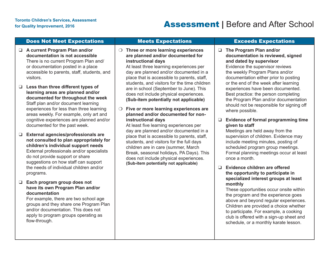### Does Not Meet Expectations Meets Expectations Exceeds Expectations

- ❑ **A current Program Plan and/or documentation is not accessible** There is no current Program Plan and/ or documentation posted in a place accessible to parents, staff, students, and visitors.
- ❑ **Less than three different types of learning areas are planned and/or documented for throughout the week** Staff plan and/or document learning experiences for less than three learning areas weekly. For example, only art and cognitive experiences are planned and/or documented for the past week.
- ❑ **External agencies/professionals are not consulted to plan appropriately for children's individual support needs** External professionals and/or specialists do not provide support or share suggestions on how staff can support the needs of individual children and/or programs.
- ❑ **Each program group does not have its own Program Plan and/or documentation**

For example, there are two school age groups and they share one Program Plan and/or documentation. This does not apply to program groups operating as flow-through.

❍ **Three or more learning experiences are planned and/or documented for instructional days**

At least three learning experiences per day are planned and/or documented in a place that is accessible to parents, staff, students, and visitors for the time children are in school (September to June). This does not include physical experiences. **(Sub-item potentially not applicable)**

❍ **Five or more learning experiences are planned and/or documented for noninstructional days**

At least five learning experiences per day are planned and/or documented in a place that is accessible to parents, staff, students, and visitors for the full days children are in care (summer, March Break, seasonal holidays, PA Days). This does not include physical experiences. **(Sub-item potentially not applicable)**

- ❑ **The Program Plan and/or documentation is reviewed, signed and dated by supervisor** Evidence the supervisor reviews the weekly Program Plans and/or documentation either prior to posting or the end of the week after learning experiences have been documented. Best practice: the person completing the Program Plan and/or documentation should not be responsible for signing off where possible.
- ❑ **Evidence of formal programming time given to staff**

Meetings are held away from the supervision of children. Evidence may include meeting minutes, posting of scheduled program group meetings. Formal planning meetings occur at least once a month.

❑ **Evidence children are offered the opportunity to participate in specialized interest groups at least monthly**

These opportunities occur onsite within the program and the experience goes above and beyond regular experiences. Children are provided a choice whether to participate. For example, a cooking club is offered with a sign-up sheet and schedule, or a monthly karate lesson.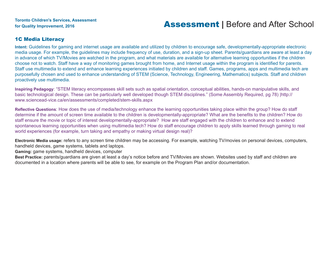#### 1C Media Literacy

**Intent:** Guidelines for gaming and internet usage are available and utilized by children to encourage safe, developmentally-appropriate electronic media usage. For example, the guidelines may include frequency of use, duration, and a sign-up sheet. Parents/guardians are aware at least a day in advance of which TV/Movies are watched in the program, and what materials are available for alternative learning opportunities if the children choose not to watch. Staff have a way of monitoring games brought from home, and Internet usage within the program is identified for parents. Staff use multimedia to extend and enhance learning experiences initiated by children and staff. Games, programs, apps and multimedia tech are purposefully chosen and used to enhance understanding of STEM (Science, Technology, Engineering, Mathematics) subjects. Staff and children proactively use multimedia.

**Inspiring Pedagogy**: "STEM literacy encompasses skill sets such as spatial orientation, conceptual abilities, hands-on manipulative skills, and basic technological design. These can be particularly well developed though STEM disciplines." (Some Assembly Required, pg 78) |http:// www.sciencead-vice.ca/en/assessments/completed/stem-skills.aspx

**Reflective Questions**: How does the use of media/technology enhance the learning opportunities taking place within the group? How do staff determine if the amount of screen time available to the children is developmentally-appropriate? What are the benefits to the children? How do staff ensure the movie or topic of interest developmentally-appropriate? How are staff engaged with the children to enhance and to extend spontaneous learning opportunities when using multimedia tech? How do staff encourage children to apply skills learned through gaming to real world experiences (for example, turn taking and empathy or making virtual design real)?

**Electronic Media usage:** refers to any screen time children may be accessing. For example, watching TV/movies on personal devices, computers, handheld devices, game systems, tablets and laptops.

**Gaming:** game systems, handheld devices, computer

Best Practice: parents/guardians are given at least a day's notice before and TV/Movies are shown. Websites used by staff and children are documented in a location where parents will be able to see, for example on the Program Plan and/or documentation.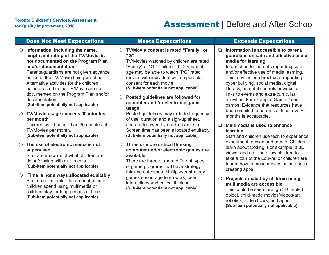## For Quality Improvement, 2016<br>For Quality Improvement, 2016

|                  | <b>Does Not Meet Expectations</b>                                                                                                                                                                                                                                                                                                                                                                                                                                                                                                                                                 | <b>Meets Expectations</b>                                                                                                                                                                                                                                                                                                                                                                                                                                                                                                                                                                                                    |              | <b>Exceeds Expectations</b>                                                                                                                                                                                                                                                                                                                                                                                                                                                                                                                                                                                |
|------------------|-----------------------------------------------------------------------------------------------------------------------------------------------------------------------------------------------------------------------------------------------------------------------------------------------------------------------------------------------------------------------------------------------------------------------------------------------------------------------------------------------------------------------------------------------------------------------------------|------------------------------------------------------------------------------------------------------------------------------------------------------------------------------------------------------------------------------------------------------------------------------------------------------------------------------------------------------------------------------------------------------------------------------------------------------------------------------------------------------------------------------------------------------------------------------------------------------------------------------|--------------|------------------------------------------------------------------------------------------------------------------------------------------------------------------------------------------------------------------------------------------------------------------------------------------------------------------------------------------------------------------------------------------------------------------------------------------------------------------------------------------------------------------------------------------------------------------------------------------------------------|
| $\cup$<br>$\cup$ | Information, including the name,<br>length and rating of the TV/Movie, is<br>not documented on the Program Plan<br>and/or documentation<br>Parents/guardians are not given advance<br>notice of the TV/Movie being watched.<br>Alternative activities for the children<br>not interested in the TV/Movie are not<br>documented on the Program Plan and/or<br>documentation.<br>(Sub-item potentially not applicable)<br>TV/Movie usage exceeds 90 minutes<br>per month<br>Children watch more than 90 minutes of<br>TV/Movies per month.<br>(Sub-item potentially not applicable) | TV/Movie content is rated "Family" or<br>$\bigcirc$<br>"G"<br>TV/Movies watched by children are rated<br>"Family" or "G." Children 9-12 years of<br>age may be able to watch "PG" rated<br>movies with individual written parental<br>consent for each movie.<br>(Sub-item potentially not applicable)<br>Posted guidelines are followed for<br>$\bigcirc$<br>computer and /or electronic game<br>usage<br>Posted guidelines may include frequency<br>of use, duration and a sign-up sheet,<br>and are followed by children and staff.<br>Screen time has been allocated equitably.<br>(Sub-item potentially not applicable) | u.<br>$\Box$ | Information is accessible to parent/<br>guardians on safe and effective use of<br>media for learning<br>Information for parents regarding safe<br>and/or effective use of media learning.<br>This may include brochures regarding<br>cyber bullying, social media, digital<br>literacy, parental controls or website<br>links to events and extra-curricular<br>activities. For example, Game Jams,<br>camps. Evidence that resources have<br>been emailed to parents at least every 4<br>months is acceptable.<br>Multimedia is used to enhance<br>learning<br>Staff and children use tech to experience, |
| $\Omega$         | The use of electronic media is not<br>supervised<br>Staff are unaware of what children are<br>doing/playing with multimedia.<br>(Sub-item potentially not applicable)                                                                                                                                                                                                                                                                                                                                                                                                             | Three or more critical thinking<br>$\bigcirc$<br>computer and/or electronic games are<br>available<br>There are three or more different types<br>of game programs that have strategy<br>thinking outcomes. Multiplayer strategy                                                                                                                                                                                                                                                                                                                                                                                              |              | experiment, design and create. Children<br>learn about Coding. For example, a 3D<br>viewer and an iPod allow children to<br>take a tour of the Louvre, or children are<br>taught how to make movies using apps or<br>creating apps.                                                                                                                                                                                                                                                                                                                                                                        |
| $\bigcirc$       | Time is not always allocated equitably<br>Staff do not monitor the amount of time<br>children spend using multimedia or<br>children play for long periods of time<br>(Sub-item potentially not applicable)                                                                                                                                                                                                                                                                                                                                                                        | games encourage team work, peer<br>interactions and critical thinking.<br>(Sub-item potentially not applicable)                                                                                                                                                                                                                                                                                                                                                                                                                                                                                                              | $\bigcirc$   | Projects created by children using<br>multimedia are accessible<br>This could be seen through 3D printed<br>object, child-made movies/videos/art,<br>robotics, slide shows, and apps.<br>(Sub-item potentially not applicable)                                                                                                                                                                                                                                                                                                                                                                             |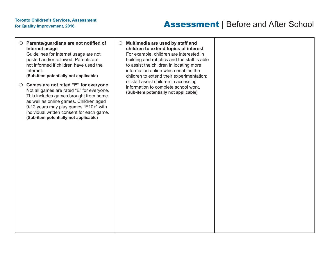## For Quality Improvement, 2016<br>For Quality Improvement, 2016<br>**Assessment** | Before and After School

| $\bigcirc$ Parents/guardians are not notified of<br>Internet usage<br>Guidelines for Internet usage are not<br>posted and/or followed. Parents are<br>not informed if children have used the<br>Internet.<br>(Sub-item potentially not applicable)                                                    | O Multimedia are used by staff and<br>children to extend topics of interest<br>For example, children are interested in<br>building and robotics and the staff is able<br>to assist the children in locating more<br>information online which enables the<br>children to extend their experimentation; |  |
|-------------------------------------------------------------------------------------------------------------------------------------------------------------------------------------------------------------------------------------------------------------------------------------------------------|-------------------------------------------------------------------------------------------------------------------------------------------------------------------------------------------------------------------------------------------------------------------------------------------------------|--|
| ○ Games are not rated "E" for everyone<br>Not all games are rated "E" for everyone.<br>This includes games brought from home<br>as well as online games. Children aged<br>9-12 years may play games "E10+" with<br>individual written consent for each game.<br>(Sub-item potentially not applicable) | or staff assist children in accessing<br>information to complete school work.<br>(Sub-item potentially not applicable)                                                                                                                                                                                |  |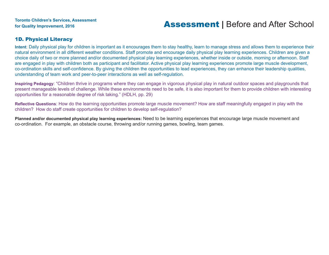#### 1D. Physical Literacy

**Intent**: Daily physical play for children is important as it encourages them to stay healthy, learn to manage stress and allows them to experience their natural environment in all different weather conditions. Staff promote and encourage daily physical play learning experiences. Children are given a choice daily of two or more planned and/or documented physical play learning experiences, whether inside or outside, morning or afternoon. Staff are engaged in play with children both as participant and facilitator. Active physical play learning experiences promote large muscle development, co-ordination skills and self-confidence. By giving the children the opportunities to lead experiences, they can enhance their leadership qualities, understanding of team work and peer-to-peer interactions as well as self-regulation.

**Inspiring Pedagogy**: "Children thrive in programs where they can engage in vigorous physical play in natural outdoor spaces and playgrounds that present manageable levels of challenge. While these environments need to be safe, it is also important for them to provide children with interesting opportunities for a reasonable degree of risk taking." (HDLH, pp. 29)

**Reflective Questions**: How do the learning opportunities promote large muscle movement? How are staff meaningfully engaged in play with the children? How do staff create opportunities for children to develop self-regulation?

**Planned and/or documented physical play learning experiences:** Need to be learning experiences that encourage large muscle movement and co-ordination. For example, an obstacle course, throwing and/or running games, bowling, team games.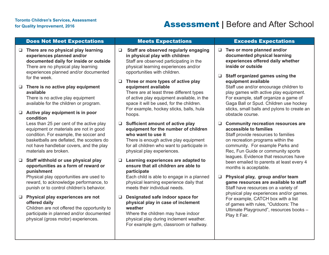## For Quality Improvement, 2016<br>For Quality Improvement, 2016

|                  | <b>Does Not Meet Expectations</b>                                                                                                                                                                                                             |                  | <b>Meets Expectations</b>                                                                                                                                                                                                        |        | <b>Exceeds Expectations</b>                                                                                                                                                                                                            |
|------------------|-----------------------------------------------------------------------------------------------------------------------------------------------------------------------------------------------------------------------------------------------|------------------|----------------------------------------------------------------------------------------------------------------------------------------------------------------------------------------------------------------------------------|--------|----------------------------------------------------------------------------------------------------------------------------------------------------------------------------------------------------------------------------------------|
| $\Box$           | There are no physical play learning<br>experiences planned and/or<br>documented daily for inside or outside<br>There are no physical play learning<br>experiences planned and/or documented<br>for the week.                                  | $\Box$<br>$\Box$ | Staff are observed regularly engaging<br>in physical play with children<br>Staff are observed participating in the<br>physical learning experiences and/or<br>opportunities with children.<br>Three or more types of active play | $\Box$ | Two or more planned and/or<br>documented physical learning<br>experiences offered daily whether<br>inside or outside<br>Staff organized games using the<br>equipment available                                                         |
| $\Box$<br>$\Box$ | There is no active play equipment<br>available<br>There is no active play equipment<br>available for the children or program.<br>Active play equipment is in poor<br>condition                                                                |                  | equipment available<br>There are at least three different types<br>of active play equipment available, in the<br>space it will be used, for the children.<br>For example, hockey sticks, balls, hula<br>hoops.                   |        | Staff use and/or encourage children to<br>play games with active play equipment.<br>For example, staff organize a game of<br>Gaga Ball or Spud. Children use hockey<br>sticks, small balls and pylons to create an<br>obstacle course. |
|                  | Less than 25 per cent of the active play<br>equipment or materials are not in good<br>condition. For example, the soccer and<br>basketballs are deflated, the scooters do<br>not have handlebar covers, and the play<br>materials are broken. | $\Box$           | Sufficient amount of active play<br>equipment for the number of children<br>who want to use it<br>There is enough active play equipment<br>for all children who want to participate in<br>physical play experiences.             | $\Box$ | <b>Community recreation resources are</b><br>accessible to families<br>Staff provide resources to families<br>on recreation programs within the<br>community. For example Parks and<br>Rec, Fun Guide or community sports              |
| $\Box$           | Staff withhold or use physical play<br>opportunities as a form of reward or<br>punishment<br>Physical play opportunities are used to<br>reward, to acknowledge performance, to                                                                | ❏                | Learning experiences are adapted to<br>ensure that all children are able to<br>participate<br>Each child is able to engage in a planned<br>physical learning experience daily that                                               | $\Box$ | leagues. Evidence that resources have<br>been emailed to parents at least every 4<br>months is acceptable.<br>Physical play, group and/or team<br>game resources are available to staff                                                |
|                  | punish or to control children's behavior.                                                                                                                                                                                                     |                  | meets their individual needs.                                                                                                                                                                                                    |        | Staff have resources on a variety of                                                                                                                                                                                                   |
| $\Box$           | Physical play experiences are not<br>offered daily<br>Children are not offered the opportunity to<br>participate in planned and/or documented<br>physical (gross motor) experiences.                                                          | $\Box$           | Designated safe indoor space for<br>physical play in case of inclement<br>weather<br>Where the children may have indoor<br>physical play during inclement weather.<br>For example gym, classroom or hallway.                     |        | physical play experiences and/or games.<br>For example, CATCH box with a list<br>of games with rules, "Outdoors: The<br>Ultimate Playground", resources books -<br>Play It Fair.                                                       |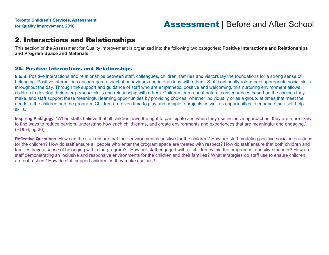### 2. Interactions and Relationships

This section of the Assessment for Quality Improvement is organized into the following two categories: **Positive Interactions and Relationships and Program Space and Materials**

#### 2A. Positive Interactions and Relationships

**Intent**: Positive interactions and relationships between staff, colleagues, children, families and visitors lay the foundations for a strong sense of belonging. Positive interactions encourages respectful behaviours and interactions with others. Staff continually role-model appropriate social skills throughout the day. Through the support and guidance of staff who are empathetic, positive and welcoming, this nurturing environment allows children to develop their inter-personal skills and relationship with others. Children learn about natural consequences based on the choices they make, and staff support these meaningful learning opportunities by providing choices, whether individually or as a group, at times that meet the needs of the children and the program. Children are given time to play and complete projects as well as opportunities to enhance their self-help skills.

**Inspiring Pedagogy**: "When staffs believe that all children have the right to participate and when they use inclusive approaches, they are more likely to find ways to reduce barriers, understand how each child learns, and create environments and experiences that are meaningful and engaging." (HDLH, pg 36)

**Reflective Questions**: How can the staff ensure that their environment is positive for the children? How are staff modeling positive social interactions for the children? How do staff ensure all people who enter the program space are treated with respect? How do staff ensure that both children and families have a sense of belonging within the program? How are staff engaged with all children within the program in a positive manner? How are staff demonstrating an inclusive and responsive environments for the children and their families? What strategies do staff use to ensure children are not rushed? How do staff support children as they make choices?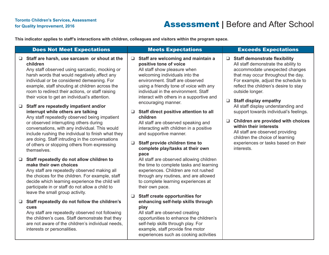### For Quality Improvement, 2016<br>For Quality Improvement, 2016

**This indicator applies to staff's interactions with children, colleagues and visitors within the program space.**

|                  | <b>Does Not Meet Expectations</b>                                                                                                                                                                                                                                                                                                                                                                                                                                                                                                                                                                                                                                                                                                                                          |                       | <b>Meets Expectations</b>                                                                                                                                                                                                                                                                                                                                                                                                                                                                                                                                       |        | <b>Exceeds Expectations</b>                                                                                                                                                                                                                                                                                                                                                                                                                                                                                                                                          |
|------------------|----------------------------------------------------------------------------------------------------------------------------------------------------------------------------------------------------------------------------------------------------------------------------------------------------------------------------------------------------------------------------------------------------------------------------------------------------------------------------------------------------------------------------------------------------------------------------------------------------------------------------------------------------------------------------------------------------------------------------------------------------------------------------|-----------------------|-----------------------------------------------------------------------------------------------------------------------------------------------------------------------------------------------------------------------------------------------------------------------------------------------------------------------------------------------------------------------------------------------------------------------------------------------------------------------------------------------------------------------------------------------------------------|--------|----------------------------------------------------------------------------------------------------------------------------------------------------------------------------------------------------------------------------------------------------------------------------------------------------------------------------------------------------------------------------------------------------------------------------------------------------------------------------------------------------------------------------------------------------------------------|
| $\Box$           | $\Box$ Staff are harsh, use sarcasm or shout at the<br>children<br>Any staff observed using sarcastic, mocking or<br>harsh words that would negatively affect any<br>individual or be considered demeaning. For<br>example, staff shouting at children across the<br>room to redirect their actions, or staff raising<br>their voice to get an individual's attention.<br>Staff are repeatedly impatient and/or<br>interrupt while others are talking<br>Any staff repeatedly observed being impatient<br>or observed interrupting others during<br>conversations, with any individual. This would<br>include rushing the individual to finish what they<br>are doing. Staff intruding in the conversations<br>of others or stopping others from expressing<br>themselves. | $\Box$<br>❏<br>$\Box$ | Staff are welcoming and maintain a<br>positive tone of voice<br>All staff show pleasure when<br>welcoming individuals into the<br>environment. Staff are observed<br>using a friendly tone of voice with any<br>individual in the environment. Staff<br>interact with others in a supportive and<br>encouraging manner.<br>Staff direct positive attention to all<br>children<br>All staff are observed speaking and<br>interacting with children in a positive<br>and supportive manner.<br>Staff provide children time to<br>complete play/tasks at their own | $\Box$ | $\Box$ Staff demonstrate flexibility<br>All staff demonstrate the ability to<br>accommodate unexpected changes<br>that may occur throughout the day.<br>For example, adjust the schedule to<br>reflect the children's desire to stay<br>outside longer.<br>$\Box$ Staff display empathy<br>All staff display understanding and<br>support towards individual's feelings.<br>Children are provided with choices<br>within their interests<br>All staff are observed providing<br>children the choice of learning<br>experiences or tasks based on their<br>interests. |
| $\Box$<br>$\Box$ | Staff repeatedly do not allow children to<br>make their own choices<br>Any staff are repeatedly observed making all<br>the choices for the children. For example, staff<br>decide which learning experience the child will<br>participate in or staff do not allow a child to<br>leave the small group activity.<br>Staff repeatedly do not follow the children's<br>cues                                                                                                                                                                                                                                                                                                                                                                                                  | ❏                     | pace<br>All staff are observed allowing children<br>the time to complete tasks and learning<br>experiences. Children are not rushed<br>through any routines, and are allowed<br>to complete learning experiences at<br>their own pace.<br><b>Staff create opportunities for</b><br>enhancing self-help skills through<br>play                                                                                                                                                                                                                                   |        |                                                                                                                                                                                                                                                                                                                                                                                                                                                                                                                                                                      |
|                  | Any staff are repeatedly observed not following<br>the children's cues. Staff demonstrate that they<br>are not aware of the children's individual needs,<br>interests or personalities.                                                                                                                                                                                                                                                                                                                                                                                                                                                                                                                                                                                    |                       | All staff are observed creating<br>opportunities to enhance the children's<br>self-help skills through play. For<br>example, staff provide fine motor<br>experiences such as cooking activities                                                                                                                                                                                                                                                                                                                                                                 |        |                                                                                                                                                                                                                                                                                                                                                                                                                                                                                                                                                                      |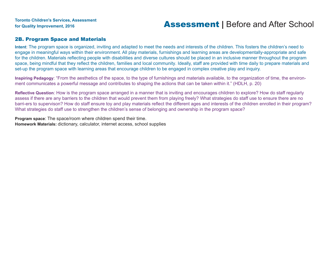#### 2B. Program Space and Materials

**Intent**: The program space is organized, inviting and adapted to meet the needs and interests of the children. This fosters the children's need to engage in meaningful ways within their environment. All play materials, furnishings and learning areas are developmentally-appropriate and safe for the children. Materials reflecting people with disabilities and diverse cultures should be placed in an inclusive manner throughout the program space, being mindful that they reflect the children, families and local community. Ideally, staff are provided with time daily to prepare materials and set-up the program space with learning areas that encourage children to be engaged in complex creative play and inquiry.

**Inspiring Pedagogy**: "From the aesthetics of the space, to the type of furnishings and materials available, to the organization of time, the environment communicates a powerful message and contributes to shaping the actions that can be taken within it." (HDLH, p. 20)

**Reflective Question**: How is the program space arranged in a manner that is inviting and encourages children to explore? How do staff regularly assess if there are any barriers to the children that would prevent them from playing freely? What strategies do staff use to ensure there are no barri-ers to supervison? How do staff ensure toy and play materials reflect the different ages and interests of the children enrolled in their program? What strategies do staff use to strengthen the children's sense of belonging and ownership in the program space?

**Program space**: The space/room where children spend their time. **Homework Materials:** dictionary, calculator, internet access, school supplies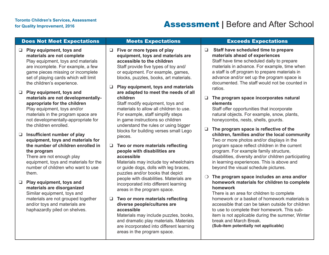### Does Not Meet Expectations Meets Expectations **Exceeds Expectations**

- ❑ **Play equipment, toys and materials are not complete**
	- Play equipment, toys and materials are incomplete. For example, a few game pieces missing or incomplete set of playing cards which will limit the children's experience.
- ❑ **Play equipment, toys and materials are not developmentallyappropriate for the children** Play equipment, toys and/or materials in the program space are not developmentally-appropriate for

❑ **Insufficient number of play** the children enrolled. **equipment, toys and materials for the number of children enrolled in**

### **the program**

There are not enough play equipment, toys and materials for the number of children who want to use them.

#### ❑ **Play equipment, toys and materials are disorganized** Similar equipment, toys and materials are not grouped together and/or toys and materials are haphazardly piled on shelves.

❑ **Five or more types of play equipment, toys and materials are accessible to the children** Staff provide five types of toy and/ or equipment. For example, games, blocks, puzzles, books, art materials.

#### ❑ **Play equipment, toys and materials are adapted to meet the needs of all children**

Staff modify equipment, toys and materials to allow all children to use. For example, staff simplify steps in game instructions so children understand the rules or using bigger blocks for building verses small Lego pieces.

#### ❑ **Two or more materials reflecting people with disabilities are accessible**

Materials may include toy wheelchairs or guide dogs, dolls with leg braces, puzzles and/or books that depict people with disabilities. Materials are incorporated into different learning areas in the program space.

#### ❑ **Two or more materials reflecting diverse people/cultures are accessible**

Materials may include puzzles, books, and dramatic play materials. Materials are incorporated into different learning areas in the program space.

❑ **Staff have scheduled time to prepare materials ahead of experiences**

Staff have time scheduled daily to prepare materials in advance. For example, time when a staff is off program to prepare materials in advance and/or set up the program space is documented. The staff would not be counted in ratios.

#### ❑ **The program space incorporates natural elements**

Staff offer opportunities that incorporate natural objects. For example, snow, plants, honeycombs, nests, shells, gourds.

❑ **The program space is reflective of the children, families and/or the local community** Two or more photos and/or displays in the program space reflect children in the current program. For example family structure, disabilities, diversity and/or children participating in learning experiences. This is above and beyond the visual schedule pictures.

#### ❍ **The program space includes an area and/or homework materials for children to complete homework**

There is an area for children to complete homework or a basket of homework materials is accessible that can be taken outside for children to use to complete their homework. This subitem is not applicable during the summer, Winter break and March Break.

**(Sub-item potentially not applicable)**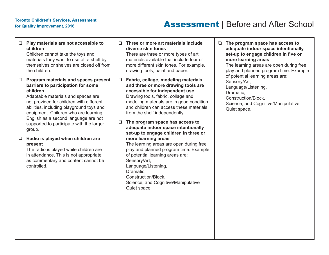### for Quality Improvement, 2016<br>**Assessment** | Before and After School

| $\Box$ | Play materials are not accessible to<br>children<br>Children cannot take the toys and<br>materials they want to use off a shelf by<br>themselves or shelves are closed off from<br>the children.                                                                                                                                                           | n           | Three or more art materials include<br>diverse skin tones<br>There are three or more types of art<br>materials available that include four or<br>more different skin tones. For example,<br>drawing tools, paint and paper.                                                                                                                                                                   | ❏ | <b>The</b><br>ade<br>set<br>mo<br>The<br>play   |
|--------|------------------------------------------------------------------------------------------------------------------------------------------------------------------------------------------------------------------------------------------------------------------------------------------------------------------------------------------------------------|-------------|-----------------------------------------------------------------------------------------------------------------------------------------------------------------------------------------------------------------------------------------------------------------------------------------------------------------------------------------------------------------------------------------------|---|-------------------------------------------------|
| $\Box$ | Program materials and spaces present<br>barriers to participation for some<br>children<br>Adaptable materials and spaces are<br>not provided for children with different<br>abilities, including playground toys and<br>equipment. Children who are learning<br>English as a second language are not<br>supported to participate with the larger<br>group. | ❏<br>$\Box$ | Fabric, collage, modeling materials<br>and three or more drawing tools are<br>accessible for independent use<br>Drawing tools, fabric, collage and<br>modeling materials are in good condition<br>and children can access these materials<br>from the shelf independently.<br>The program space has access to<br>adequate indoor space intentionally<br>set-up to engage children in three or |   | of p<br>Ser<br>Lan<br>Dra<br>Cor<br>Scie<br>Qui |
| $\Box$ | Radio is played when children are<br>present<br>The radio is played while children are<br>in attendance. This is not appropriate<br>as commentary and content cannot be<br>controlled.                                                                                                                                                                     |             | more learning areas<br>The learning areas are open during free<br>play and planned program time. Example<br>of potential learning areas are:<br>Sensory/Art,<br>Language/Listening,<br>Dramatic,<br>Construction/Block,<br>Science, and Cognitive/Manipulative<br>Quiet space.                                                                                                                |   |                                                 |

❑ **The program space has access to adequate indoor space intentionally set-up to engage children in five or more learning areas** I learning areas are open during free y and planned program time. Example otential learning areas are: sory/Art, guage/Listening, amatic, nstruction/Block, ence, and Cognitive/Manipulative et space.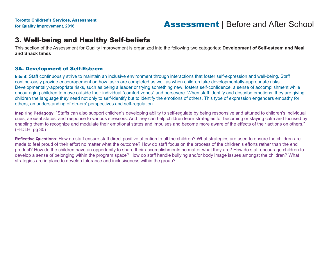### 3. Well-being and Healthy Self-beliefs

This section of the Assessment for Quality Improvement is organized into the following two categories: **Development of Self-esteem and Meal and Snack times**

### 3A. Development of Self-Esteem

**Intent**: Staff continuously strive to maintain an inclusive environment through interactions that foster self-expression and well-being. Staff continu-ously provide encouragement on how tasks are completed as well as when children take developmentally-appropriate risks. Developmentally-appropriate risks, such as being a leader or trying something new, fosters self-confidence, a sense of accomplishment while encouraging children to move outside their individual "comfort zones" and persevere. When staff identify and describe emotions, they are giving children the language they need not only to self-identify but to identify the emotions of others. This type of expression engenders empathy for others, an understanding of oth-ers' perspectives and self-regulation.

**Inspiring Pedagogy**: "Staffs can also support children's developing ability to self-regulate by being responsive and attuned to children's individual cues, arousal states, and response to various stressors. And they can help children learn strategies for becoming or staying calm and focused by enabling them to recognize and modulate their emotional states and impulses and become more aware of the effects of their actions on others." (H-DLH, pg 30)

**Reflective Questions**: How do staff ensure staff direct positive attention to all the children? What strategies are used to ensure the children are made to feel proud of their effort no matter what the outcome? How do staff focus on the process of the children's efforts rather than the end product? How do the children have an opportunity to share their accomplishments no matter what they are? How do staff encourage children to develop a sense of belonging within the program space? How do staff handle bullying and/or body image issues amongst the children? What strategies are in place to develop tolerance and inclusiveness within the group?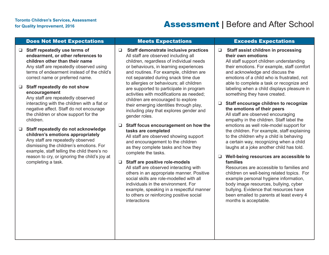#### Does Not Meet Expectations Meets Expectations Exceeds Expectations

❑ **Staff repeatedly use terms of endearment, or other references to children other than their name** Any staff are repeatedly observed using terms of endearment instead of the child's correct name or preferred name.

#### ❑ **Staff repeatedly do not show encouragement**

Any staff are repeatedly observed interacting with the children with a flat or negative affect. Staff do not encourage the children or show support for the children.

❑ **Staff repeatedly do not acknowledge children's emotions appropriately** Any staff are repeatedly observed dismissing the children's emotions. For example, staff telling the child there's no reason to cry, or ignoring the child's joy at completing a task.

❑ **Staff demonstrate inclusive practices** All staff are observed including all children, regardless of individual needs or behaviours, in learning experiences and routines. For example, children are not separated during snack time due to allergies or behaviours; all children are supported to participate in program activities with modifications as needed; children are encouraged to explore their emerging identities through play, including play that explores gender and gender roles.

#### ❑ **Staff focus encouragement on how the tasks are completed**

All staff are observed showing support and encouragement to the children as they complete tasks and how they complete the tasks.

### ❑ **Staff are positive role-models**

All staff are observed interacting with others in an appropriate manner. Positive social skills are role-modelled with all individuals in the environment. For example, speaking in a respectful manner to others or reinforcing positive social **interactions** 

#### ❑ **Staff assist children in processing their own emotions**

All staff support children understanding their emotions. For example, staff comfort and acknowledge and discuss the emotions of a child who is frustrated, not able to complete a task or recognize and labeling when a child displays pleasure in something they have created.

#### ❑ **Staff encourage children to recognize the emotions of their peers**

All staff are observed encouraging empathy in the children. Staff label the emotions as well role-model support for the children. For example, staff explaining to the children why a child is behaving a certain way, recognizing when a child laughs at a joke another child has told.

#### ❑ **Well-being resources are accessible to families**

Resources are accessible to families and children on well-being related topics. For example personal hygiene information, body image resources, bullying, cyber bullying. Evidence that resources have been emailed to parents at least every 4 months is acceptable.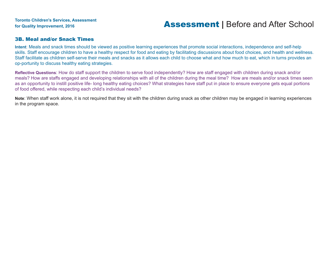#### 3B. Meal and/or Snack Times

**Intent**: Meals and snack times should be viewed as positive learning experiences that promote social interactions, independence and self-help skills. Staff encourage children to have a healthy respect for food and eating by facilitating discussions about food choices, and health and wellness. Staff facilitate as children self-serve their meals and snacks as it allows each child to choose what and how much to eat, which in turns provides an op-portunity to discuss healthy eating strategies.

**Reflective Questions**: How do staff support the children to serve food independently? How are staff engaged with children during snack and/or meals? How are staffs engaged and developing relationships with all of the children during the meal time? How are meals and/or snack times seen as an opportunity to instill positive life- long healthy eating choices? What strategies have staff put in place to ensure everyone gets equal portions of food offered, while respecting each child's individual needs?

**Note**: When staff work alone, it is not required that they sit with the children during snack as other children may be engaged in learning experiences in the program space.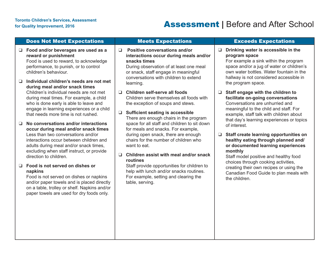## For Quality Improvement, 2016<br>For Quality Improvement, 2016

|             | <b>Does Not Meet Expectations</b>                                                                                                                                                                                                                                              |             | <b>Meets Expectations</b>                                                                                                                                                                                                               |        | <b>Exceeds Expectations</b>                                                                                                                                                                                                                             |
|-------------|--------------------------------------------------------------------------------------------------------------------------------------------------------------------------------------------------------------------------------------------------------------------------------|-------------|-----------------------------------------------------------------------------------------------------------------------------------------------------------------------------------------------------------------------------------------|--------|---------------------------------------------------------------------------------------------------------------------------------------------------------------------------------------------------------------------------------------------------------|
| ┙<br>$\Box$ | Food and/or beverages are used as a<br>reward or punishment<br>Food is used to reward, to acknowledge<br>performance, to punish, or to control<br>children's behaviour.<br>Individual children's needs are not met<br>during meal and/or snack times                           | $\Box$      | <b>Positive conversations and/or</b><br>interactions occur during meals and/or<br>snacks times<br>During observation of at least one meal<br>or snack, staff engage in meaningful<br>conversations with children to extend<br>learning. | $\Box$ | Drinking water is accessible in the<br>program space<br>For example a sink within the program<br>space and/or a jug of water or children's<br>own water bottles. Water fountain in the<br>hallway is not considered accessible in<br>the program space. |
|             | Children's individual needs are not met<br>during meal times. For example, a child<br>who is done early is able to leave and<br>engage in learning experiences or a child<br>that needs more time is not rushed.                                                               | □<br>$\Box$ | Children self-serve all foods<br>Children serve themselves all foods with<br>the exception of soups and stews.<br><b>Sufficient seating is accessible</b><br>There are enough chairs in the program                                     | $\Box$ | Staff engage with the children to<br>facilitate on-going conversations<br>Conversations are unhurried and<br>meaningful to the child and staff. For<br>example, staff talk with children about<br>that day's learning experiences or topics             |
| ❏           | No conversations and/or interactions<br>occur during meal and/or snack times<br>Less than two conversations and/or<br>interactions occur between children and<br>adults during meal and/or snack times,<br>excluding when staff instruct, or provide<br>direction to children. | □           | space for all staff and children to sit down<br>for meals and snacks. For example,<br>during open snack, there are enough<br>chairs for the number of children who<br>want to eat.<br>Children assist with meal and/or snack            | $\Box$ | of interest.<br>Staff create learning opportunities on<br>healthy eating through planned and/<br>or documented learning experiences<br>monthly<br>Staff model positive and healthy food                                                                 |
| ❏           | Food is not served on dishes or<br>napkins<br>Food is not served on dishes or napkins<br>and/or paper towels and is placed directly<br>on a table, trolley or shelf. Napkins and/or<br>paper towels are used for dry foods only.                                               |             | routines<br>Staff provide opportunities for children to<br>help with lunch and/or snacks routines.<br>For example, setting and clearing the<br>table, serving.                                                                          |        | choices through cooking activities,<br>creating their own recipes or using the<br>Canadian Food Guide to plan meals with<br>the children.                                                                                                               |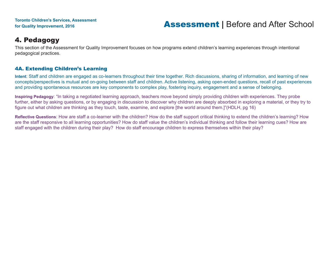### 4. Pedagogy

This section of the Assessment for Quality Improvement focuses on how programs extend children's learning experiences through intentional pedagogical practices.

### 4A. Extending Children's Learning

**Intent**: Staff and children are engaged as co-learners throughout their time together. Rich discussions, sharing of information, and learning of new concepts/perspectives is mutual and on-going between staff and children. Active listening, asking open-ended questions, recall of past experiences and providing spontaneous resources are key components to complex play, fostering inquiry, engagement and a sense of belonging.

**Inspiring Pedagogy**: "In taking a negotiated learning approach, teachers move beyond simply providing children with experiences. They probe further, either by asking questions, or by engaging in discussion to discover why children are deeply absorbed in exploring a material, or they try to figure out what children are thinking as they touch, taste, examine, and explore [the world around them.]"(HDLH, pg 16)

**Reflective Questions**: How are staff a co-learner with the children? How do the staff support critical thinking to extend the children's learning? How are the staff responsive to all learning opportunities? How do staff value the children's individual thinking and follow their learning cues? How are staff engaged with the children during their play? How do staff encourage children to express themselves within their play?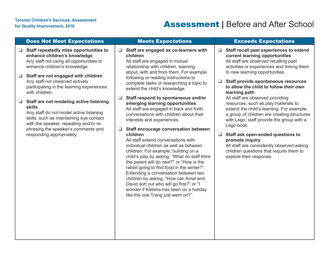## For Quality Improvement, 2016<br>For Quality Improvement, 2016<br>**Assessment** | Before and After School

| <b>Does Not Meet Expectations</b>                                                                                                                                                                                                         | <b>Meets Expectations</b>                                                                                                                                                                                                                                                                                                                                                                                                                                                                 | <b>Exceeds Expectations</b>                                                                                                                                                                                                     |
|-------------------------------------------------------------------------------------------------------------------------------------------------------------------------------------------------------------------------------------------|-------------------------------------------------------------------------------------------------------------------------------------------------------------------------------------------------------------------------------------------------------------------------------------------------------------------------------------------------------------------------------------------------------------------------------------------------------------------------------------------|---------------------------------------------------------------------------------------------------------------------------------------------------------------------------------------------------------------------------------|
| Staff repeatedly miss opportunities to<br>⊔<br>enhance children's knowledge<br>Any staff not using all opportunities to<br>enhance children's knowledge.<br>Staff are not engaged with children                                           | $\Box$ Staff are engaged as co-learners with<br>children<br>All staff are engaged in mutual<br>relationship with children, learning<br>about, with and from them. For example<br>following or reading instructions to                                                                                                                                                                                                                                                                     | Staff recall past experiences to extend<br>$\Box$<br>current learning opportunities<br>All staff are observed recalling past<br>activities or experiences and linking them<br>to new learning opportunities.                    |
| Any staff not observed actively<br>participating in the learning experiences<br>with children.                                                                                                                                            | complete tasks or researching a topic to<br>extend the child's knowledge.                                                                                                                                                                                                                                                                                                                                                                                                                 | <b>Staff provide spontaneous resources</b><br>□<br>to allow the child to follow their own<br>learning path                                                                                                                      |
| Staff are not modeling active listening<br>$\Box$<br><b>skills</b><br>Any staff do not model active listening<br>skills, such as maintaining eye contact<br>with the speaker, repeating and/or re-<br>phrasing the speaker's comments and | Staff respond to spontaneous and/or<br>$\Box$<br>emerging learning opportunities<br>All staff are engaged in back and forth<br>conversations with children about their<br>interests and experiences.<br><b>Staff encourage conversation between</b>                                                                                                                                                                                                                                       | All staff are observed providing<br>resources, such as play materials to<br>extend the child's learning. For example,<br>a group of children are creating structures<br>with Lego; staff provide the group with a<br>Lego book. |
| responding appropriately.                                                                                                                                                                                                                 | children<br>All staff extend conversations with<br>individual children as well as between<br>children. For example, building on a<br>child's play by asking, "What do staff think<br>the parent will do next?" or "How is the<br>rabbit going to find food in the winter?".<br>Extending a conversation between two<br>children by asking, "How can Amal and<br>David sort out who will go first?" or "I<br>wonder if Kelisha has been on a holiday<br>like the one Trang just went on?". | Staff ask open-ended questions to<br>$\Box$<br>promote inquiry<br>All staff are consistently observed asking<br>children questions that require them to<br>explore their response.                                              |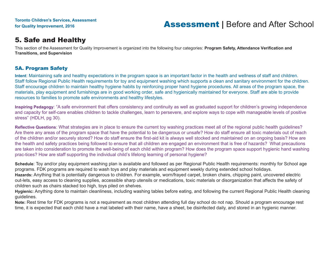### 5. Safe and Healthy

This section of the Assessment for Quality Improvement is organized into the following four categories: **Program Safety, Attendance Verification and Transitions, and Supervision**

### 5A. Program Safety

**Intent**: Maintaining safe and healthy expectations in the program space is an important factor in the health and wellness of staff and children. Staff follow Regional Public Health requirements for toy and equipment washing which supports a clean and sanitary environment for the children. Staff encourage children to maintain healthy hygiene habits by reinforcing proper hand hygiene procedures. All areas of the program space, the materials, play equipment and furnishings are in good working order, safe and hygienically maintained for everyone. Staff are able to provide resources to families to promote safe environments and healthy lifestyles.

**Inspiring Pedagogy**: "A safe environment that offers consistency and continuity as well as graduated support for children's growing independence and capacity for self-care enables children to tackle challenges, learn to persevere, and explore ways to cope with manageable levels of positive stress" (HDLH, pg 30).

**Reflective Questions**: What strategies are in place to ensure the current toy washing practices meet all of the regional public health guidelines? Are there any areas of the program space that have the potential to be dangerous or unsafe? How do staff ensure all toxic materials out of reach of the children and/or securely stored? How do staff ensure the first-aid kit is always well stocked and maintained on an ongoing basis? How are the health and safety practices being followed to ensure that all children are engaged an environment that is free of hazards? What precautions are taken into consideration to promote the well-being of each child within program? How does the program space support hygienic hand washing prac-tices? How are staff supporting the individual child's lifelong learning of personal hygiene?

**Schedule**: Toy and/or play equipment washing plan is available and followed as per Regional Public Health requirements: monthly for School age programs. FDK programs are required to wash toys and play materials and equipment weekly during extended school holidays.

**Hazards:** Anything that is potentially dangerous to children. For example, worn/frayed carpet, broken chairs, chipping paint, uncovered electric out-lets, easy access to cleaning supplies, accessible sharp utensils or medications, toxic materials or disorganization that affects the safety of children such as chairs stacked too high, toys piled on shelves.

**Hygienic:** Anything done to maintain cleanliness, including washing tables before eating, and following the current Regional Public Health cleaning guidelines.

**Note:** Rest time for FDK programs is not a requirement as most children attending full day school do not nap. Should a program encourage rest time, it is expected that each child have a mat labeled with their name, have a sheet, be disinfected daily, and stored in an hygienic manner.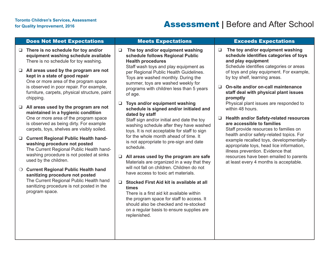## For Quality Improvement, 2016<br>For Quality Improvement, 2016

|            | <b>Does Not Meet Expectations</b>                                                                                                                                                                                          |        | <b>Meets Expectations</b>                                                                                                                                                  |        | <b>Exceeds Expectations</b>                                                                                                                                          |
|------------|----------------------------------------------------------------------------------------------------------------------------------------------------------------------------------------------------------------------------|--------|----------------------------------------------------------------------------------------------------------------------------------------------------------------------------|--------|----------------------------------------------------------------------------------------------------------------------------------------------------------------------|
| Q.         | There is no schedule for toy and/or<br>equipment washing schedule available<br>There is no schedule for toy washing.                                                                                                       | $\Box$ | The toy and/or equipment washing<br>schedule follows Regional Public<br><b>Health procedures</b><br>Staff wash toys and play equipment as                                  | $\Box$ | The toy and/or equipment washing<br>schedule identifies categories of toys<br>and play equipment<br>Schedule identifies categories or areas                          |
| ┙          | All areas used by the program are not<br>kept in a state of good repair<br>One or more area of the program space<br>is observed in poor repair. For example,<br>furniture, carpets, physical structure, paint<br>chipping. |        | per Regional Public Health Guidelines.<br>Toys are washed monthly. During the<br>summer, toys are washed weekly for<br>programs with children less than 5 years<br>of age. | □      | of toys and play equipment. For example,<br>by toy shelf, learning areas.<br>On-site and/or on-call maintenance<br>staff deal with physical plant issues<br>promptly |
| $\Box$     | All areas used by the program are not<br>maintained in a hygienic condition<br>One or more area of the program space                                                                                                       | $\Box$ | Toys and/or equipment washing<br>schedule is signed and/or initialed and<br>dated by staff                                                                                 |        | Physical plant issues are responded to<br>within 48 hours.                                                                                                           |
|            | is observed as being dirty. For example<br>carpets, toys, shelves are visibly soiled.                                                                                                                                      |        | Staff sign and/or initial and date the toy<br>washing schedule after they have washed<br>toys. It is not acceptable for staff to sign                                      | □      | <b>Health and/or Safety-related resources</b><br>are accessible to families<br>Staff provide resources to families on<br>health and/or safety-related topics. For    |
| ┙          | <b>Current Regional Public Health hand-</b><br>washing procedure not posted<br>The Current Regional Public Health hand-                                                                                                    |        | for the whole month ahead of time. It<br>is not appropriate to pre-sign and date<br>schedule.                                                                              |        | example recalled toys, developmentally-<br>appropriate toys, head lice information,<br>illness prevention. Evidence that                                             |
|            | washing procedure is not posted at sinks<br>used by the children.                                                                                                                                                          | $\Box$ | All areas used by the program are safe<br>Materials are organized in a way that they<br>will not fall on children. Children do not                                         |        | resources have been emailed to parents<br>at least every 4 months is acceptable.                                                                                     |
| $\bigcirc$ | <b>Current Regional Public Health hand</b><br>sanitizing procedure not posted                                                                                                                                              |        | have access to toxic art materials.                                                                                                                                        |        |                                                                                                                                                                      |
|            | The Current Regional Public Health hand<br>sanitizing procedure is not posted in the<br>program space.                                                                                                                     | $\Box$ | Stocked First Aid kit is available at all<br>times<br>There is a first aid kit available within                                                                            |        |                                                                                                                                                                      |
|            |                                                                                                                                                                                                                            |        | the program space for staff to access. It<br>should also be checked and re-stocked<br>on a regular basis to ensure supplies are<br>replenished.                            |        |                                                                                                                                                                      |
|            |                                                                                                                                                                                                                            |        |                                                                                                                                                                            |        |                                                                                                                                                                      |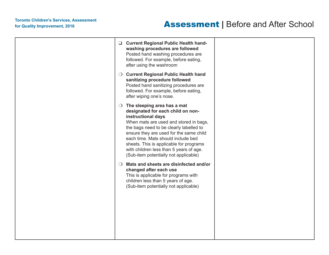## For Quality Improvement, 2016<br>For Quality Improvement, 2016<br>**Assessment** | Before and After School

|  | □ Current Regional Public Health hand-<br>washing procedures are followed<br>Posted hand washing procedures are<br>followed. For example, before eating,<br>after using the washroom                                                                                                                                                                                                                   |  |
|--|--------------------------------------------------------------------------------------------------------------------------------------------------------------------------------------------------------------------------------------------------------------------------------------------------------------------------------------------------------------------------------------------------------|--|
|  | O Current Regional Public Health hand<br>sanitizing procedure followed<br>Posted hand sanitizing procedures are<br>followed. For example, before eating,<br>after wiping one's nose.                                                                                                                                                                                                                   |  |
|  | $\bigcirc$ The sleeping area has a mat<br>designated for each child on non-<br>instructional days<br>When mats are used and stored in bags,<br>the bags need to be clearly labelled to<br>ensure they are used for the same child<br>each time. Mats should include bed<br>sheets. This is applicable for programs<br>with children less than 5 years of age.<br>(Sub-item potentially not applicable) |  |
|  | O Mats and sheets are disinfected and/or<br>changed after each use<br>This is applicable for programs with<br>children less than 5 years of age.<br>(Sub-item potentially not applicable)                                                                                                                                                                                                              |  |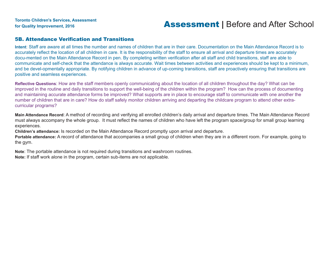### for Quality Improvement, 2016<br>**Assessment |** Before and After School

#### 5B. Attendance Verification and Transitions

**Intent**: Staff are aware at all times the number and names of children that are in their care. Documentation on the Main Attendance Record is to accurately reflect the location of all children in care. It is the responsibility of the staff to ensure all arrival and departure times are accurately docu-mented on the Main Attendance Record in pen. By completing written verification after all staff and child transitions, staff are able to communicate and self-check that the attendance is always accurate. Wait times between activities and experiences should be kept to a minimum, and be devel-opmentally appropriate. By notifying children in advance of up-coming transitions, staff are proactively ensuring that transitions are positive and seamless experiences.

**Reflective Questions**: How are the staff members openly communicating about the location of all children throughout the day? What can be improved in the routine and daily transitions to support the well-being of the children within the program? How can the process of documenting and maintaining accurate attendance forms be improved? What supports are in place to encourage staff to communicate with one another the number of children that are in care? How do staff safely monitor children arriving and departing the childcare program to attend other extracurricular programs?

**Main Attendance Record**: A method of recording and verifying all enrolled children's daily arrival and departure times. The Main Attendance Record must always accompany the whole group. It must reflect the names of children who have left the program space/group for small group learning experiences.

**Children's attendance:** Is recorded on the Main Attendance Record promptly upon arrival and departure.

**Portable attendance:** A record of attendance that accompanies a small group of children when they are in a different room. For example, going to the gym.

**Note**: The portable attendance is not required during transitions and washroom routines.

**Note:** If staff work alone in the program, certain sub-items are not applicable.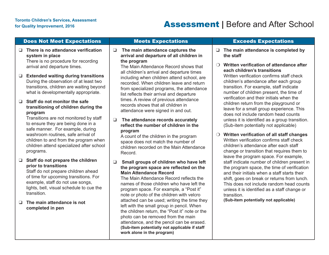### Does Not Meet Expectations **Neets Expectations** Meets Expectations **Exceeds Expectations**

❑ **There is no attendance verification system in place** There is no procedure for recording

arrival and departure times.

❑ **Extended waiting during transitions** During the observation of at least two transitions, children are waiting beyond what is developmentally appropriate.

#### ❑ **Staff do not monitor the safe transitioning of children during the program**

Transitions are not monitored by staff to ensure they are being done in a safe manner. For example, during washroom routines, safe arrival of children to and from the program when children attend specialized after school programs.

#### ❑ **Staff do not prepare the children prior to transitions**

Staff do not prepare children ahead of time for upcoming transitions. For example, staff do not use songs, lights, bell, visual schedule to cue the transition.

❑ **The main attendance is not completed in pen**

❑ **The main attendance captures the arrival and departure of all children in the program**

The Main Attendance Record shows that all children's arrival and departure times including when children attend school, are recorded. When children leave and return from specialized programs, the attendance list reflects their arrival and departure times. A review of previous attendance records shows that all children in attendance were signed in and out.

#### ❑ **The attendance records accurately reflect the number of children in the program**

A count of the children in the program space does not match the number of children recorded on the Main Attendance Record.

#### ❑ **Small groups of children who have left the program space are reflected on the Main Attendance Record**

The Main Attendance Record reflects the names of those children who have left the program space. For example, a "Post it" note or photo of the children with velcro attached can be used; writing the time they left with the small group in pencil. When the children return, the "Post it" note or the photo can be removed from the main attendance, and the pencil can be erased. **(Sub-item potentially not applicable if staff work alone in the program)** 

- ❑ **The main attendance is completed by the staff**
- ❍ **Written verification of attendance after each children's transitions**

Written verification confirms staff check children's attendance after each group transition. For example, staff indicate number of children present, the time of verification and their initials when the children return from the playground or leave for a small group experience. This does not include random head counts unless it is identified as a group transition. (Sub-item potentially not applicable)

❍ **Written verification of all staff changes** Written verification confirms staff check children's attendance after each staff change or transition that requires them to leave the program space. For example, staff indicate number of children present in the program space, the time of verification and their initials when a staff starts their shift, goes on break or returns from lunch. This does not include random head counts unless it is identified as a staff change or transition.

**(Sub-item potentially not applicable)**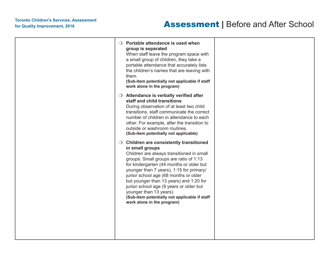|  | $\bigcirc$ Portable attendance is used when<br>group is separated<br>When staff leave the program space with<br>a small group of children, they take a<br>portable attendance that accurately lists<br>the children's names that are leaving with<br>them.<br>(Sub-item potentially not applicable if staff<br>work alone in the program)                                                                                                                                           |  |
|--|-------------------------------------------------------------------------------------------------------------------------------------------------------------------------------------------------------------------------------------------------------------------------------------------------------------------------------------------------------------------------------------------------------------------------------------------------------------------------------------|--|
|  | ○ Attendance is verbally verified after<br>staff and child transitions<br>During observation of at least two child<br>transitions, staff communicate the correct<br>number of children in attendance to each<br>other. For example, after the transition to<br>outside or washroom routines.<br>(Sub-item potentially not applicable)                                                                                                                                               |  |
|  | O Children are consistently transitioned<br>in small groups<br>Children are always transitioned in small<br>groups. Small groups are ratio of 1:13<br>for kindergarten (44 months or older but<br>younger than 7 years), 1:15 for primary/<br>junior school age (68 months or older<br>but younger than 13 years) and 1:20 for<br>junior school age (9 years or older but<br>younger than 13 years).<br>(Sub-item potentially not applicable if staff<br>work alone in the program) |  |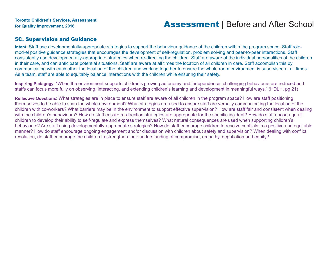#### 5C. Supervision and Guidance

**Intent**: Staff use developmentally-appropriate strategies to support the behaviour guidance of the children within the program space. Staff rolemod-el positive guidance strategies that encourages the development of self-regulation, problem solving and peer-to-peer interactions. Staff consistently use developmentally-appropriate strategies when re-directing the children. Staff are aware of the individual personalities of the children in their care, and can anticipate potential situations. Staff are aware at all times the location of all children in care. Staff accomplish this by communicating with each other the location of the children and working together to ensure the whole room environment is supervised at all times. As a team, staff are able to equitably balance interactions with the children while ensuring their safety.

**Inspiring Pedagogy**: "When the environment supports children's growing autonomy and independence, challenging behaviours are reduced and staffs can focus more fully on observing, interacting, and extending children's learning and development in meaningful ways." (HDLH, pg 21)

**Reflective Questions**: What strategies are in place to ensure staff are aware of all children in the program space? How are staff positioning them-selves to be able to scan the whole environment? What strategies are used to ensure staff are verbally communicating the location of the children with co-workers? What barriers may be in the environment to support effective supervision? How are staff fair and consistent when dealing with the children's behaviours? How do staff ensure re-direction strategies are appropriate for the specific incident? How do staff encourage all children to develop their ability to self-regulate and express themselves? What natural consequences are used when supporting children's behaviours? Are staff using developmentally-appropriate strategies? How do staff encourage children to resolve conflicts in a positive and equitable manner? How do staff encourage ongoing engagement and/or discussion with children about safety and supervision? When dealing with conflict resolution, do staff encourage the children to strengthen their understanding of compromise, empathy, negotiation and equity?